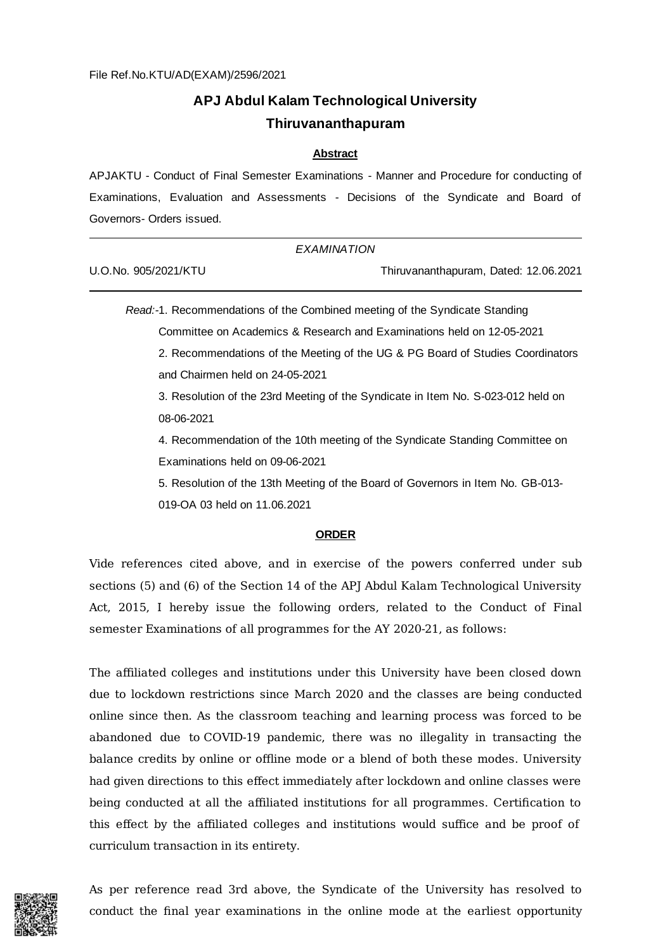# **APJ Abdul Kalam Technological University Thiruvananthapuram**

#### **Abstract**

APJAKTU - Conduct of Final Semester Examinations - Manner and Procedure for conducting of Examinations, Evaluation and Assessments - Decisions of the Syndicate and Board of Governors- Orders issued.

*EXAMINATION*

Thiruvananthapuram, Dated: 12.06.2021

*Read:-*1. Recommendations of the Combined meeting of the Syndicate Standing Committee on Academics & Research and Examinations held on 12-05-2021

2. Recommendations of the Meeting of the UG & PG Board of Studies Coordinators and Chairmen held on 24-05-2021

3. Resolution of the 23rd Meeting of the Syndicate in Item No. S-023-012 held on 08-06-2021

4. Recommendation of the 10th meeting of the Syndicate Standing Committee on Examinations held on 09-06-2021

5. Resolution of the 13th Meeting of the Board of Governors in Item No. GB-013- 019-OA 03 held on 11.06.2021

#### **ORDER**

Vide references cited above, and in exercise of the powers conferred under sub sections (5) and (6) of the Section 14 of the APJ Abdul Kalam Technological University Act, 2015, I hereby issue the following orders, related to the Conduct of Final semester Examinations of all programmes for the AY 2020-21, as follows:

The affiliated colleges and institutions under this University have been closed down due to lockdown restrictions since March 2020 and the classes are being conducted online since then. As the classroom teaching and learning process was forced to be abandoned due to COVID-19 pandemic, there was no illegality in transacting the balance credits by online or offline mode or a blend of both these modes. University had given directions to this effect immediately after lockdown and online classes were being conducted at all the affiliated institutions for all programmes. Certification to this effect by the affiliated colleges and institutions would suffice and be proof of curriculum transaction in its entirety.



As per reference read 3rd above, the Syndicate of the University has resolved to conduct the final year examinations in the online mode at the earliest opportunity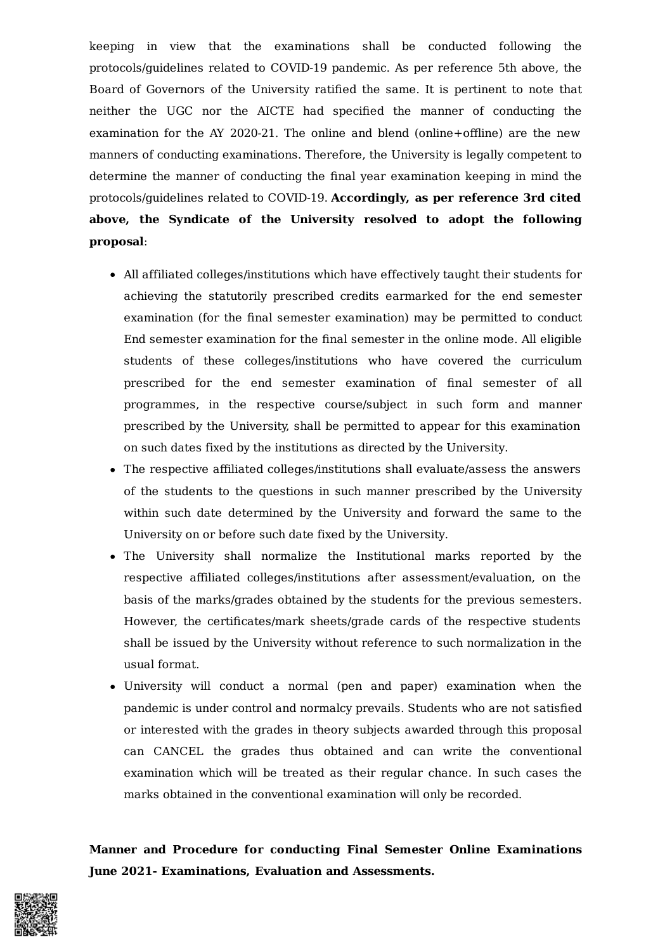keeping in view that the examinations shall be conducted following the protocols/guidelines related to COVID-19 pandemic. As per reference 5th above, the Board of Governors of the University ratified the same. It is pertinent to note that neither the UGC nor the AICTE had specified the manner of conducting the examination for the AY 2020-21. The online and blend (online+offline) are the new manners of conducting examinations. Therefore, the University is legally competent to determine the manner of conducting the final year examination keeping in mind the protocols/guidelines related to COVID-19. **Accordingly, as per reference 3rd cited above, the Syndicate of the University resolved to adopt the following proposal**:

- All affiliated colleges/institutions which have effectively taught their students for achieving the statutorily prescribed credits earmarked for the end semester examination (for the final semester examination) may be permitted to conduct End semester examination for the final semester in the online mode. All eligible students of these colleges/institutions who have covered the curriculum prescribed for the end semester examination of final semester of all programmes, in the respective course/subject in such form and manner prescribed by the University, shall be permitted to appear for this examination on such dates fixed by the institutions as directed by the University.
- The respective affiliated colleges/institutions shall evaluate/assess the answers of the students to the questions in such manner prescribed by the University within such date determined by the University and forward the same to the University on or before such date fixed by the University.
- The University shall normalize the Institutional marks reported by the respective affiliated colleges/institutions after assessment/evaluation, on the basis of the marks/grades obtained by the students for the previous semesters. However, the certificates/mark sheets/grade cards of the respective students shall be issued by the University without reference to such normalization in the usual format.
- University will conduct a normal (pen and paper) examination when the pandemic is under control and normalcy prevails. Students who are not satisfied or interested with the grades in theory subjects awarded through this proposal can CANCEL the grades thus obtained and can write the conventional examination which will be treated as their regular chance. In such cases the marks obtained in the conventional examination will only be recorded.

**Manner and Procedure for conducting Final Semester Online Examinations June 2021- Examinations, Evaluation and Assessments.**

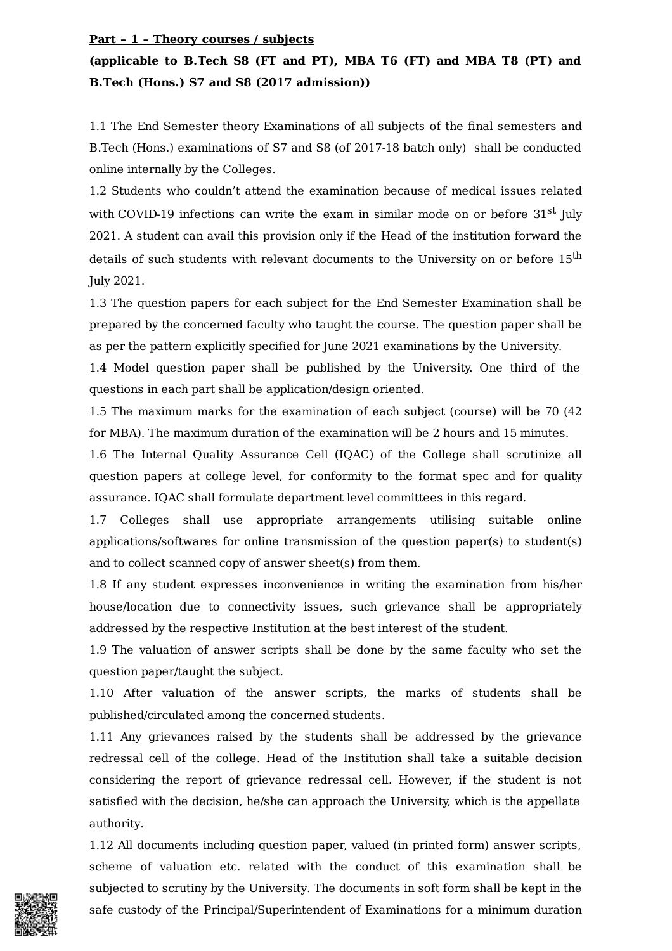#### **Part – 1 – Theory courses / subjects**

# **(applicable to B.Tech S8 (FT and PT), MBA T6 (FT) and MBA T8 (PT) and B.Tech (Hons.) S7 and S8 (2017 admission))**

1.1 The End Semester theory Examinations of all subjects of the final semesters and B.Tech (Hons.) examinations of S7 and S8 (of 2017-18 batch only) shall be conducted online internally by the Colleges.

1.2 Students who couldn't attend the examination because of medical issues related with COVID-19 infections can write the exam in similar mode on or before 31<sup>st</sup> July 2021. A student can avail this provision only if the Head of the institution forward the details of such students with relevant documents to the University on or before  $15^{\rm th}$ July 2021.

1.3 The question papers for each subject for the End Semester Examination shall be prepared by the concerned faculty who taught the course. The question paper shall be as per the pattern explicitly specified for June 2021 examinations by the University.

1.4 Model question paper shall be published by the University. One third of the questions in each part shall be application/design oriented.

1.5 The maximum marks for the examination of each subject (course) will be 70 (42 for MBA). The maximum duration of the examination will be 2 hours and 15 minutes.

1.6 The Internal Quality Assurance Cell (IQAC) of the College shall scrutinize all question papers at college level, for conformity to the format spec and for quality assurance. IQAC shall formulate department level committees in this regard.

1.7 Colleges shall use appropriate arrangements utilising suitable online applications/softwares for online transmission of the question paper(s) to student(s) and to collect scanned copy of answer sheet(s) from them.

1.8 If any student expresses inconvenience in writing the examination from his/her house/location due to connectivity issues, such grievance shall be appropriately addressed by the respective Institution at the best interest of the student.

1.9 The valuation of answer scripts shall be done by the same faculty who set the question paper/taught the subject.

1.10 After valuation of the answer scripts, the marks of students shall be published/circulated among the concerned students.

1.11 Any grievances raised by the students shall be addressed by the grievance redressal cell of the college. Head of the Institution shall take a suitable decision considering the report of grievance redressal cell. However, if the student is not satisfied with the decision, he/she can approach the University, which is the appellate authority.

1.12 All documents including question paper, valued (in printed form) answer scripts, scheme of valuation etc. related with the conduct of this examination shall be subjected to scrutiny by the University. The documents in soft form shall be kept in the safe custody of the Principal/Superintendent of Examinations for a minimum duration

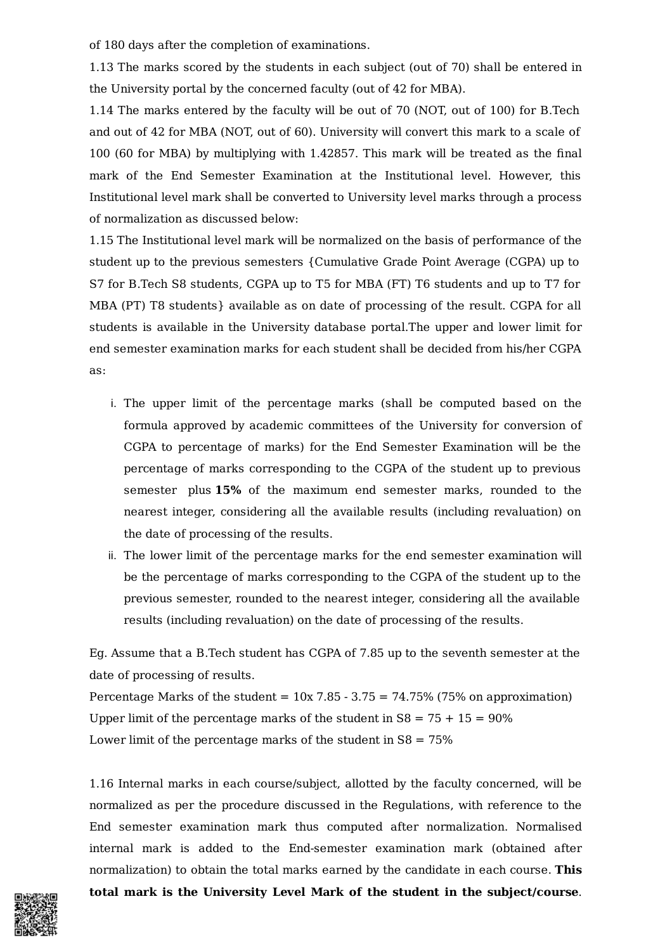of 180 days after the completion of examinations.

1.13 The marks scored by the students in each subject (out of 70) shall be entered in the University portal by the concerned faculty (out of 42 for MBA).

1.14 The marks entered by the faculty will be out of 70 (NOT, out of 100) for B.Tech and out of 42 for MBA (NOT, out of 60). University will convert this mark to a scale of 100 (60 for MBA) by multiplying with 1.42857. This mark will be treated as the final mark of the End Semester Examination at the Institutional level. However, this Institutional level mark shall be converted to University level marks through a process of normalization as discussed below:

1.15 The Institutional level mark will be normalized on the basis of performance of the student up to the previous semesters {Cumulative Grade Point Average (CGPA) up to S7 for B.Tech S8 students, CGPA up to T5 for MBA (FT) T6 students and up to T7 for MBA (PT) T8 students} available as on date of processing of the result. CGPA for all students is available in the University database portal.The upper and lower limit for end semester examination marks for each student shall be decided from his/her CGPA as:

- i. The upper limit of the percentage marks (shall be computed based on the formula approved by academic committees of the University for conversion of CGPA to percentage of marks) for the End Semester Examination will be the percentage of marks corresponding to the CGPA of the student up to previous semester plus **15%** of the maximum end semester marks, rounded to the nearest integer, considering all the available results (including revaluation) on the date of processing of the results.
- ii. The lower limit of the percentage marks for the end semester examination will be the percentage of marks corresponding to the CGPA of the student up to the previous semester, rounded to the nearest integer, considering all the available results (including revaluation) on the date of processing of the results.

Eg. Assume that a B.Tech student has CGPA of 7.85 up to the seventh semester at the date of processing of results.

Percentage Marks of the student =  $10x$  7.85 - 3.75 = 74.75% (75% on approximation) Upper limit of the percentage marks of the student in  $S8 = 75 + 15 = 90\%$ Lower limit of the percentage marks of the student in  $S8 = 75\%$ 

1.16 Internal marks in each course/subject, allotted by the faculty concerned, will be normalized as per the procedure discussed in the Regulations, with reference to the End semester examination mark thus computed after normalization. Normalised internal mark is added to the End-semester examination mark (obtained after normalization) to obtain the total marks earned by the candidate in each course. **This total mark is the University Level Mark of the student in the subject/course**.

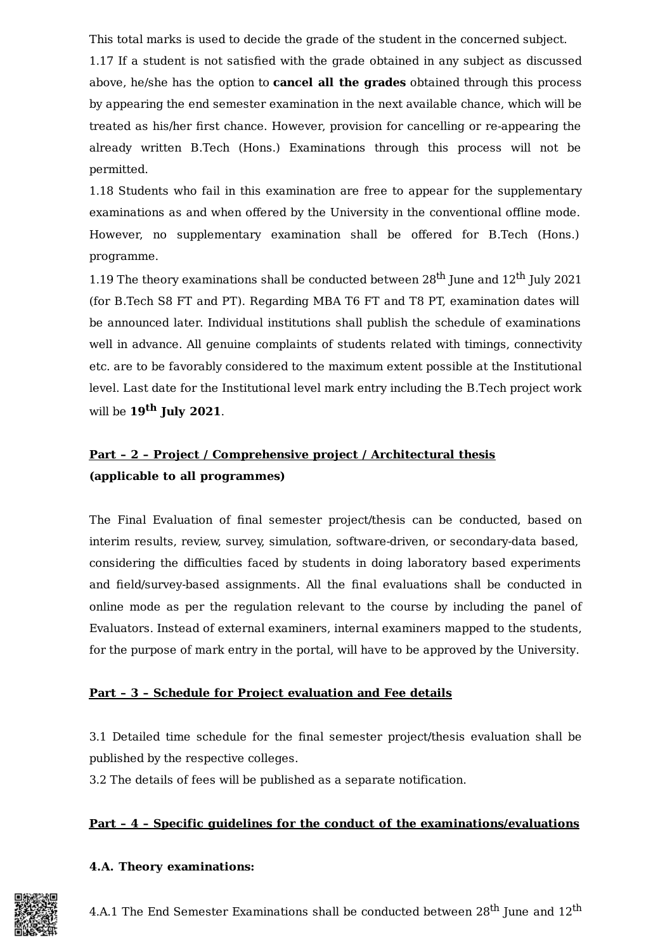This total marks is used to decide the grade of the student in the concerned subject.

1.17 If a student is not satisfied with the grade obtained in any subject as discussed above, he/she has the option to **cancel all the grades** obtained through this process by appearing the end semester examination in the next available chance, which will be treated as his/her first chance. However, provision for cancelling or re-appearing the already written B.Tech (Hons.) Examinations through this process will not be permitted.

1.18 Students who fail in this examination are free to appear for the supplementary examinations as and when offered by the University in the conventional offline mode. However, no supplementary examination shall be offered for B.Tech (Hons.) programme.

1.19 The theory examinations shall be conducted between  $28^{\text{th}}$  June and  $12^{\text{th}}$  July 2021 (for B.Tech S8 FT and PT). Regarding MBA T6 FT and T8 PT, examination dates will be announced later. Individual institutions shall publish the schedule of examinations well in advance. All genuine complaints of students related with timings, connectivity etc. are to be favorably considered to the maximum extent possible at the Institutional level. Last date for the Institutional level mark entry including the B.Tech project work will be **19 th July 2021**.

## **Part – 2 – Project / Comprehensive project / Architectural thesis (applicable to all programmes)**

The Final Evaluation of final semester project/thesis can be conducted, based on interim results, review, survey, simulation, software-driven, or secondary-data based, considering the difficulties faced by students in doing laboratory based experiments and field/survey-based assignments. All the final evaluations shall be conducted in online mode as per the regulation relevant to the course by including the panel of Evaluators. Instead of external examiners, internal examiners mapped to the students, for the purpose of mark entry in the portal, will have to be approved by the University.

## **Part – 3 – Schedule for Project evaluation and Fee details**

3.1 Detailed time schedule for the final semester project/thesis evaluation shall be published by the respective colleges.

3.2 The details of fees will be published as a separate notification.

## **Part – 4 – Specific guidelines for the conduct of the examinations/evaluations**

## **4.A. Theory examinations:**



4.A.1 The End Semester Examinations shall be conducted between 28 $^{\rm th}$  June and 12 $^{\rm th}$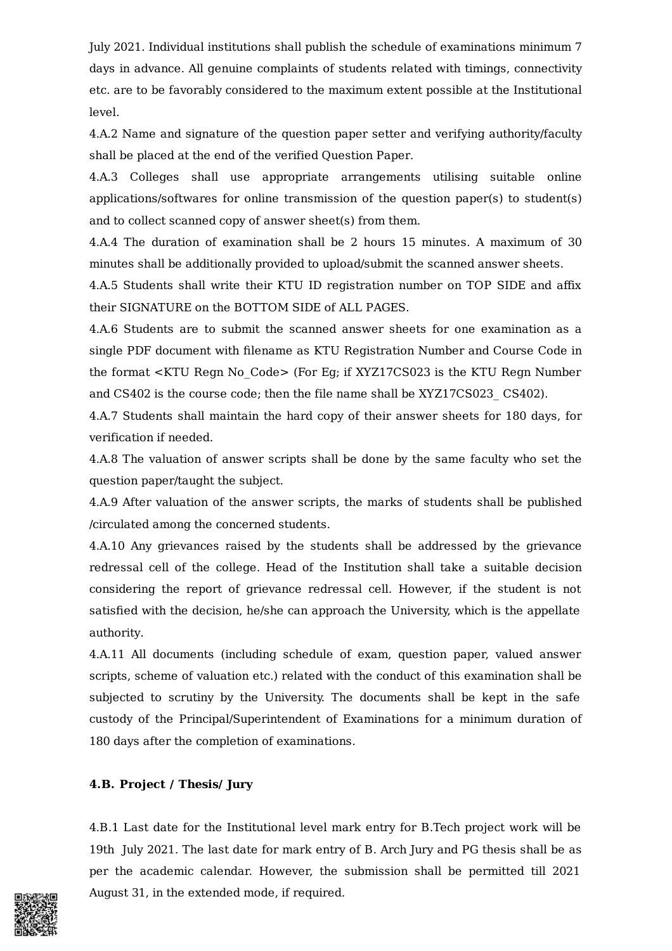July 2021. Individual institutions shall publish the schedule of examinations minimum 7 days in advance. All genuine complaints of students related with timings, connectivity etc. are to be favorably considered to the maximum extent possible at the Institutional level.

4.A.2 Name and signature of the question paper setter and verifying authority/faculty shall be placed at the end of the verified Question Paper.

4.A.3 Colleges shall use appropriate arrangements utilising suitable online applications/softwares for online transmission of the question paper(s) to student(s) and to collect scanned copy of answer sheet(s) from them.

4.A.4 The duration of examination shall be 2 hours 15 minutes. A maximum of 30 minutes shall be additionally provided to upload/submit the scanned answer sheets.

4.A.5 Students shall write their KTU ID registration number on TOP SIDE and affix their SIGNATURE on the BOTTOM SIDE of ALL PAGES.

4.A.6 Students are to submit the scanned answer sheets for one examination as a single PDF document with filename as KTU Registration Number and Course Code in the format <KTU Regn No\_Code> (For Eg; if XYZ17CS023 is the KTU Regn Number and CS402 is the course code; then the file name shall be XYZ17CS023\_ CS402).

4.A.7 Students shall maintain the hard copy of their answer sheets for 180 days, for verification if needed.

4.A.8 The valuation of answer scripts shall be done by the same faculty who set the question paper/taught the subject.

4.A.9 After valuation of the answer scripts, the marks of students shall be published /circulated among the concerned students.

4.A.10 Any grievances raised by the students shall be addressed by the grievance redressal cell of the college. Head of the Institution shall take a suitable decision considering the report of grievance redressal cell. However, if the student is not satisfied with the decision, he/she can approach the University, which is the appellate authority.

4.A.11 All documents (including schedule of exam, question paper, valued answer scripts, scheme of valuation etc.) related with the conduct of this examination shall be subjected to scrutiny by the University. The documents shall be kept in the safe custody of the Principal/Superintendent of Examinations for a minimum duration of 180 days after the completion of examinations.

### **4.B. Project / Thesis/ Jury**

4.B.1 Last date for the Institutional level mark entry for B.Tech project work will be 19th July 2021. The last date for mark entry of B. Arch Jury and PG thesis shall be as per the academic calendar. However, the submission shall be permitted till 2021 August 31, in the extended mode, if required.

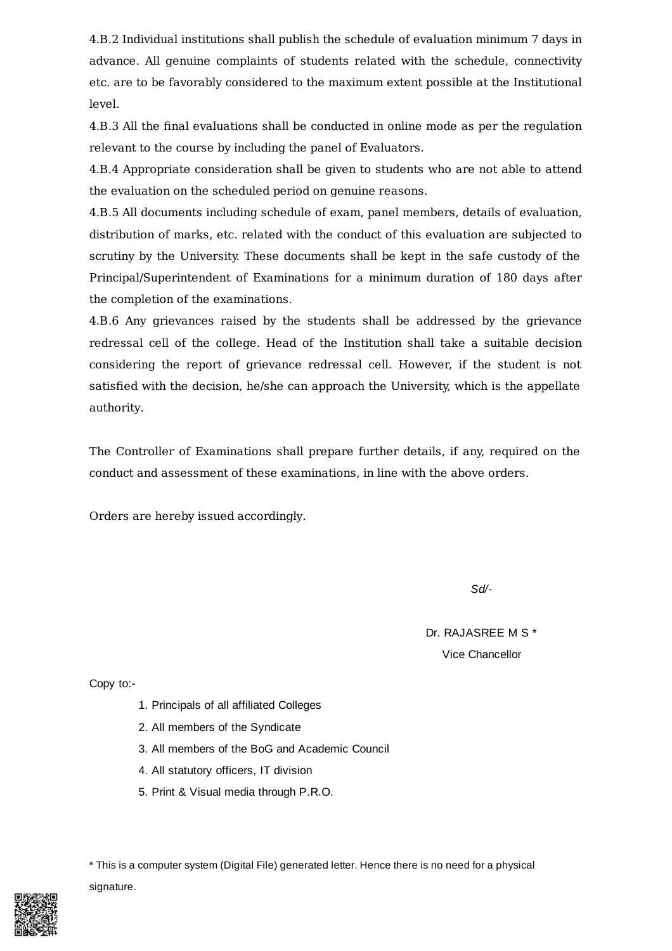4.B.2 Individual institutions shall publish the schedule of evaluation minimum 7 days in advance. All genuine complaints of students related with the schedule, connectivity etc. are to be favorably considered to the maximum extent possible at the Institutional level.

4.B.3 All the final evaluations shall be conducted in online mode as per the regulation relevant to the course by including the panel of Evaluators.

4.B.4 Appropriate consideration shall be given to students who are not able to attend the evaluation on the scheduled period on genuine reasons.

4.B.5 All documents including schedule of exam, panel members, details of evaluation, distribution of marks, etc. related with the conduct of this evaluation are subjected to scrutiny by the University. These documents shall be kept in the safe custody of the Principal/Superintendent of Examinations for a minimum duration of 180 days after the completion of the examinations.

4.B.6 Any grievances raised by the students shall be addressed by the grievance redressal cell of the college. Head of the Institution shall take a suitable decision considering the report of grievance redressal cell. However, if the student is not satisfied with the decision, he/she can approach the University, which is the appellate authority.

The Controller of Examinations shall prepare further details, if any, required on the conduct and assessment of these examinations, in line with the above orders.

Orders are hereby issued accordingly.

*Sd/-*

Dr. RAJASREE M S \* Vice Chancellor

Copy to:-

- 1. Principals of all affiliated Colleges
- 2. All members of the Syndicate
- 3. All members of the BoG and Academic Council
- 4. All statutory officers, IT division
- 5. Print & Visual media through P.R.O.

\* This is a computer system (Digital File) generated letter. Hence there is no need for a physical signature.